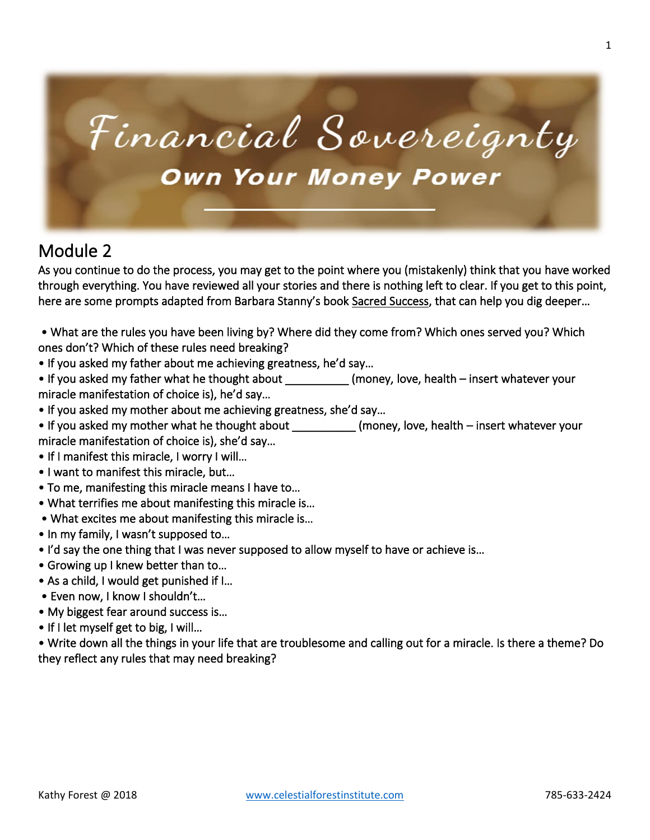

### Module 2

As you continue to do the process, you may get to the point where you (mistakenly) think that you have worked through everything. You have reviewed all your stories and there is nothing left to clear. If you get to this point, here are some prompts adapted from Barbara Stanny's book Sacred Success, that can help you dig deeper…

 • What are the rules you have been living by? Where did they come from? Which ones served you? Which ones don't? Which of these rules need breaking?

• If you asked my father about me achieving greatness, he'd say…

• If you asked my father what he thought about \_\_\_\_\_\_\_\_\_\_\_\_ (money, love, health – insert whatever your miracle manifestation of choice is), he'd say…

- If you asked my mother about me achieving greatness, she'd say…
- If you asked my mother what he thought about \_\_\_\_\_\_\_\_\_\_\_\_(money, love, health insert whatever your miracle manifestation of choice is), she'd say…
- If I manifest this miracle, I worry I will…
- I want to manifest this miracle, but…
- To me, manifesting this miracle means I have to…
- What terrifies me about manifesting this miracle is…
- What excites me about manifesting this miracle is…
- In my family, I wasn't supposed to…
- I'd say the one thing that I was never supposed to allow myself to have or achieve is…
- Growing up I knew better than to…
- As a child, I would get punished if I…
- Even now, I know I shouldn't…
- My biggest fear around success is…
- If I let myself get to big, I will...

• Write down all the things in your life that are troublesome and calling out for a miracle. Is there a theme? Do they reflect any rules that may need breaking?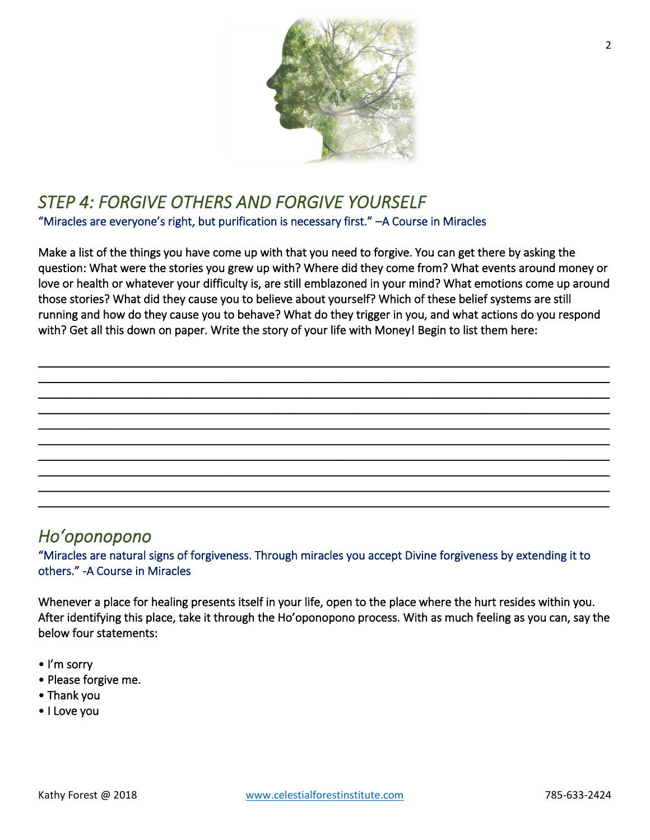

### *STEP 4: FORGIVE OTHERS AND FORGIVE YOURSELF*  "Miracles are everyone's right, but purification is necessary first." –A Course in Miracles

Make a list of the things you have come up with that you need to forgive. You can get there by asking the question: What were the stories you grew up with? Where did they come from? What events around money or love or health or whatever your difficulty is, are still emblazoned in your mind? What emotions come up around those stories? What did they cause you to believe about yourself? Which of these belief systems are still running and how do they cause you to behave? What do they trigger in you, and what actions do you respond with? Get all this down on paper. Write the story of your life with Money! Begin to list them here:

 $\_$  , and the set of the set of the set of the set of the set of the set of the set of the set of the set of the set of the set of the set of the set of the set of the set of the set of the set of the set of the set of th  $\_$  , and the set of the set of the set of the set of the set of the set of the set of the set of the set of the set of the set of the set of the set of the set of the set of the set of the set of the set of the set of th \_\_\_\_\_\_\_\_\_\_\_\_\_\_\_\_\_\_\_\_\_\_\_\_\_\_\_\_\_\_\_\_\_\_\_\_\_\_\_\_\_\_\_\_\_\_\_\_\_\_\_\_\_\_\_\_\_\_\_\_\_\_\_\_\_\_\_\_\_\_\_\_\_\_\_\_\_\_\_\_\_\_\_\_\_\_\_\_\_\_ \_\_\_\_\_\_\_\_\_\_\_\_\_\_\_\_\_\_\_\_\_\_\_\_\_\_\_\_\_\_\_\_\_\_\_\_\_\_\_\_\_\_\_\_\_\_\_\_\_\_\_\_\_\_\_\_\_\_\_\_\_\_\_\_\_\_\_\_\_\_\_\_\_\_\_\_\_\_\_\_\_\_\_\_\_\_\_\_\_\_ \_\_\_\_\_\_\_\_\_\_\_\_\_\_\_\_\_\_\_\_\_\_\_\_\_\_\_\_\_\_\_\_\_\_\_\_\_\_\_\_\_\_\_\_\_\_\_\_\_\_\_\_\_\_\_\_\_\_\_\_\_\_\_\_\_\_\_\_\_\_\_\_\_\_\_\_\_\_\_\_\_\_\_\_\_\_\_\_\_\_ \_\_\_\_\_\_\_\_\_\_\_\_\_\_\_\_\_\_\_\_\_\_\_\_\_\_\_\_\_\_\_\_\_\_\_\_\_\_\_\_\_\_\_\_\_\_\_\_\_\_\_\_\_\_\_\_\_\_\_\_\_\_\_\_\_\_\_\_\_\_\_\_\_\_\_\_\_\_\_\_\_\_\_\_\_\_\_\_\_\_ \_\_\_\_\_\_\_\_\_\_\_\_\_\_\_\_\_\_\_\_\_\_\_\_\_\_\_\_\_\_\_\_\_\_\_\_\_\_\_\_\_\_\_\_\_\_\_\_\_\_\_\_\_\_\_\_\_\_\_\_\_\_\_\_\_\_\_\_\_\_\_\_\_\_\_\_\_\_\_\_\_\_\_\_\_\_\_\_\_\_ \_\_\_\_\_\_\_\_\_\_\_\_\_\_\_\_\_\_\_\_\_\_\_\_\_\_\_\_\_\_\_\_\_\_\_\_\_\_\_\_\_\_\_\_\_\_\_\_\_\_\_\_\_\_\_\_\_\_\_\_\_\_\_\_\_\_\_\_\_\_\_\_\_\_\_\_\_\_\_\_\_\_\_\_\_\_\_\_\_\_ \_\_\_\_\_\_\_\_\_\_\_\_\_\_\_\_\_\_\_\_\_\_\_\_\_\_\_\_\_\_\_\_\_\_\_\_\_\_\_\_\_\_\_\_\_\_\_\_\_\_\_\_\_\_\_\_\_\_\_\_\_\_\_\_\_\_\_\_\_\_\_\_\_\_\_\_\_\_\_\_\_\_\_\_\_\_\_\_\_\_ \_\_\_\_\_\_\_\_\_\_\_\_\_\_\_\_\_\_\_\_\_\_\_\_\_\_\_\_\_\_\_\_\_\_\_\_\_\_\_\_\_\_\_\_\_\_\_\_\_\_\_\_\_\_\_\_\_\_\_\_\_\_\_\_\_\_\_\_\_\_\_\_\_\_\_\_\_\_\_\_\_\_\_\_\_\_\_\_\_\_

### *Hoʻoponopono*

"Miracles are natural signs of forgiveness. Through miracles you accept Divine forgiveness by extending it to others." -A Course in Miracles

Whenever a place for healing presents itself in your life, open to the place where the hurt resides within you. After identifying this place, take it through the Ho'oponopono process. With as much feeling as you can, say the below four statements:

- I'm sorry
- Please forgive me.
- Thank you
- I Love you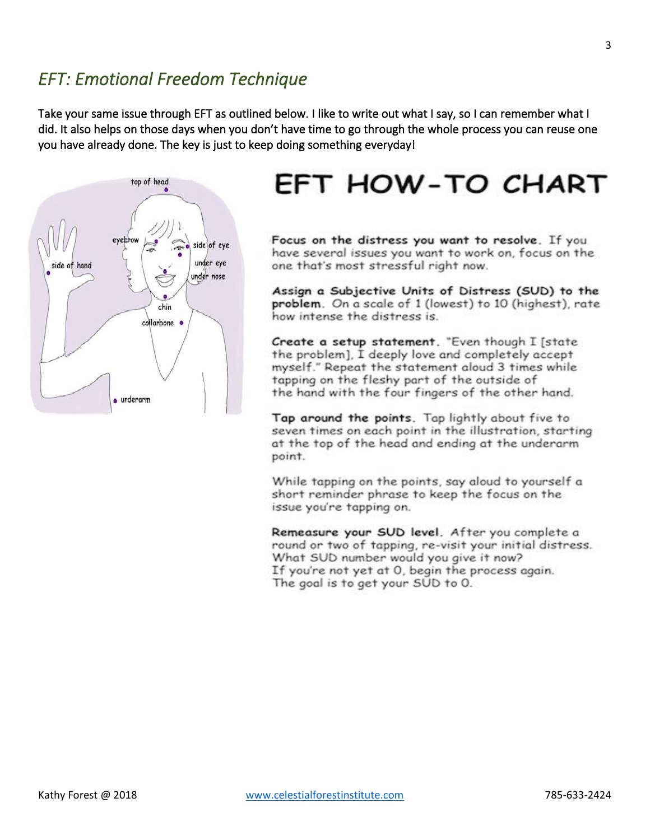### *EFT: Emotional Freedom Technique*

Take your same issue through EFT as outlined below. I like to write out what I say, so I can remember what I did. It also helps on those days when you don't have time to go through the whole process you can reuse one you have already done. The key is just to keep doing something everyday!



## EFT HOW-TO CHART

Focus on the distress you want to resolve. If you have several issues you want to work on, focus on the one that's most stressful right now.

Assign a Subjective Units of Distress (SUD) to the problem. On a scale of 1 (lowest) to 10 (highest), rate how intense the distress is.

Create a setup statement. "Even though I [state the problem], I deeply love and completely accept myself." Repeat the statement aloud 3 times while tapping on the fleshy part of the outside of the hand with the four fingers of the other hand.

Tap around the points. Tap lightly about five to seven times on each point in the illustration, starting at the top of the head and ending at the underarm point.

While tapping on the points, say aloud to yourself a short reminder phrase to keep the focus on the issue you're tapping on.

Remeasure your SUD level. After you complete a round or two of tapping, re-visit your initial distress. What SUD number would you give it now? If you're not yet at 0, begin the process again. The goal is to get your SUD to 0.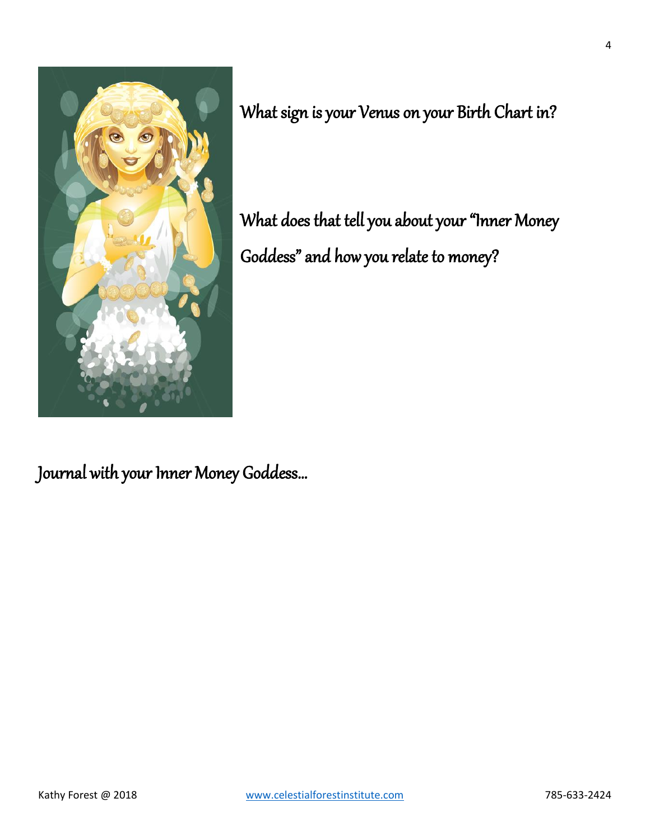

What sign is your Venus on your Birth Chart in?

What does that tell you about your "Inner Money Goddess" and how you relate to money?

Journal with your Inner Money Goddess…